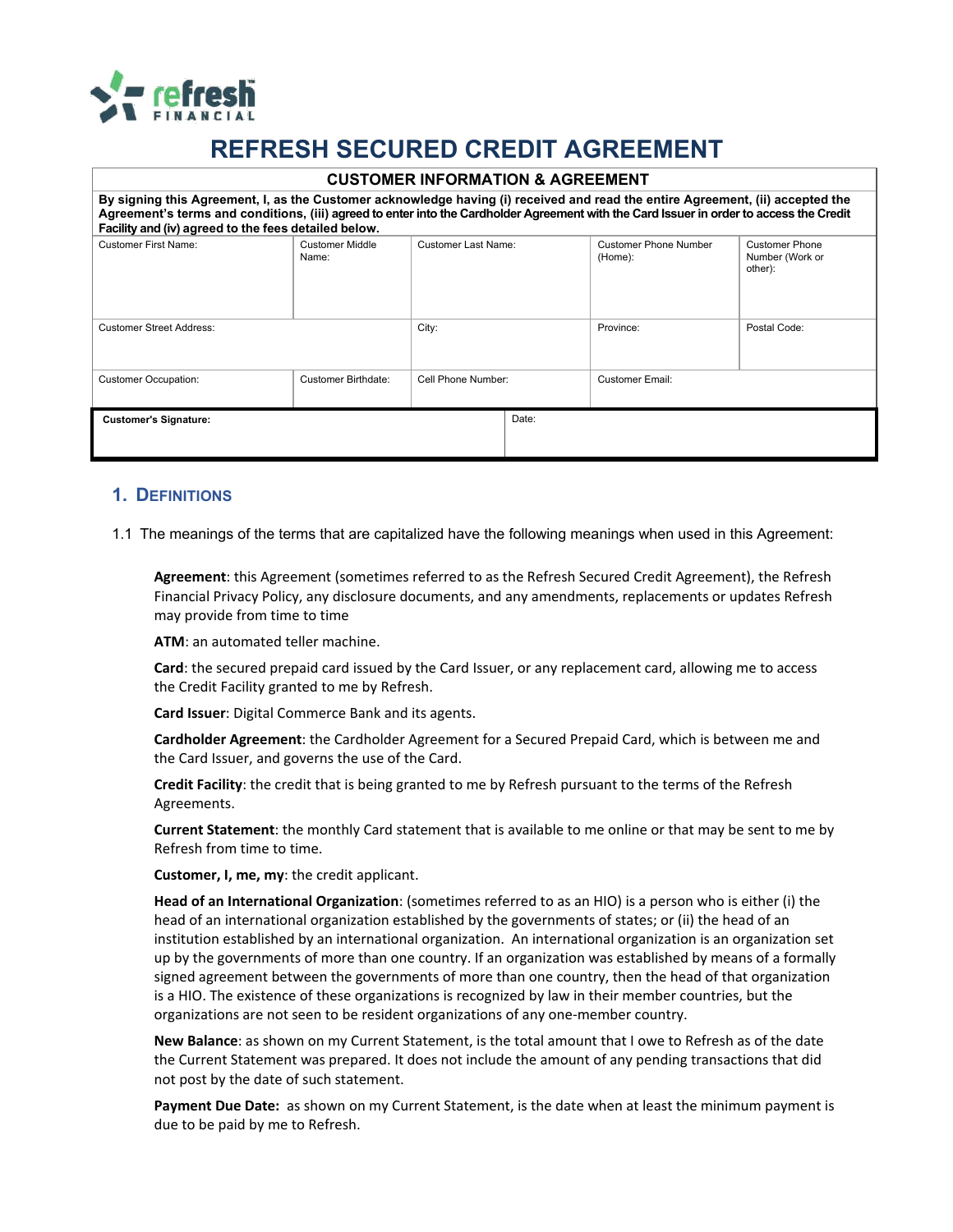

# **REFRESH SECURED CREDIT AGREEMENT**

#### **CUSTOMER INFORMATION & AGREEMENT**

| By signing this Agreement, I, as the Customer acknowledge having (i) received and read the entire Agreement, (ii) accepted the<br>Agreement's terms and conditions, (iii) agreed to enter into the Cardholder Agreement with the Card Issuer in order to access the Credit<br>Facility and (iv) agreed to the fees detailed below. |                          |                     |       |                                         |                                                     |  |  |
|------------------------------------------------------------------------------------------------------------------------------------------------------------------------------------------------------------------------------------------------------------------------------------------------------------------------------------|--------------------------|---------------------|-------|-----------------------------------------|-----------------------------------------------------|--|--|
| Customer First Name:                                                                                                                                                                                                                                                                                                               | Customer Middle<br>Name: | Customer Last Name: |       | <b>Customer Phone Number</b><br>(Home): | <b>Customer Phone</b><br>Number (Work or<br>other): |  |  |
| <b>Customer Street Address:</b>                                                                                                                                                                                                                                                                                                    |                          | City:               |       | Province:                               | Postal Code:                                        |  |  |
| <b>Customer Occupation:</b>                                                                                                                                                                                                                                                                                                        | Customer Birthdate:      | Cell Phone Number:  |       | Customer Email:                         |                                                     |  |  |
| <b>Customer's Signature:</b>                                                                                                                                                                                                                                                                                                       |                          |                     | Date: |                                         |                                                     |  |  |

#### **1. DEFINITIONS**

1.1 The meanings of the terms that are capitalized have the following meanings when used in this Agreement:

**Agreement**: this Agreement (sometimes referred to as the Refresh Secured Credit Agreement), the Refresh Financial Privacy Policy, any disclosure documents, and any amendments, replacements or updates Refresh may provide from time to time

**ATM**: an automated teller machine.

**Card**: the secured prepaid card issued by the Card Issuer, or any replacement card, allowing me to access the Credit Facility granted to me by Refresh.

**Card Issuer**: Digital Commerce Bank and its agents.

**Cardholder Agreement**: the Cardholder Agreement for a Secured Prepaid Card, which is between me and the Card Issuer, and governs the use of the Card.

**Credit Facility**: the credit that is being granted to me by Refresh pursuant to the terms of the Refresh Agreements.

**Current Statement**: the monthly Card statement that is available to me online or that may be sent to me by Refresh from time to time.

**Customer, I, me, my**: the credit applicant.

**Head of an International Organization**: (sometimes referred to as an HIO) is a person who is either (i) the head of an international organization established by the governments of states; or (ii) the head of an institution established by an international organization. An international organization is an organization set up by the governments of more than one country. If an organization was established by means of a formally signed agreement between the governments of more than one country, then the head of that organization is a HIO. The existence of these organizations is recognized by law in their member countries, but the organizations are not seen to be resident organizations of any one-member country.

**New Balance**: as shown on my Current Statement, is the total amount that I owe to Refresh as of the date the Current Statement was prepared. It does not include the amount of any pending transactions that did not post by the date of such statement.

**Payment Due Date:** as shown on my Current Statement, is the date when at least the minimum payment is due to be paid by me to Refresh.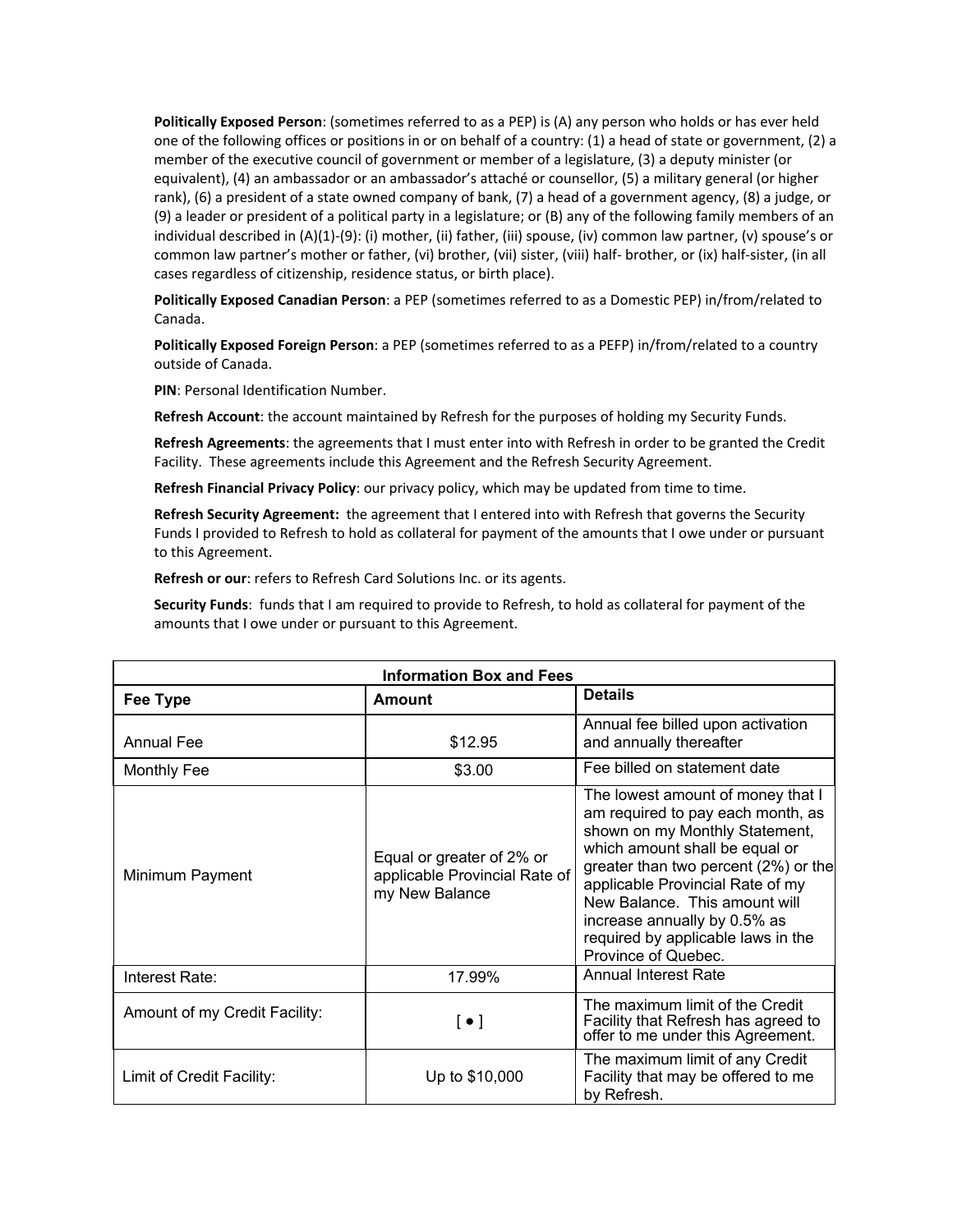**Politically Exposed Person**: (sometimes referred to as a PEP) is (A) any person who holds or has ever held one of the following offices or positions in or on behalf of a country: (1) a head of state or government, (2) a member of the executive council of government or member of a legislature, (3) a deputy minister (or equivalent), (4) an ambassador or an ambassador's attaché or counsellor, (5) a military general (or higher rank), (6) a president of a state owned company of bank, (7) a head of a government agency, (8) a judge, or (9) a leader or president of a political party in a legislature; or (B) any of the following family members of an individual described in (A)(1)-(9): (i) mother, (ii) father, (iii) spouse, (iv) common law partner, (v) spouse's or common law partner's mother or father, (vi) brother, (vii) sister, (viii) half- brother, or (ix) half-sister, (in all cases regardless of citizenship, residence status, or birth place).

**Politically Exposed Canadian Person**: a PEP (sometimes referred to as a Domestic PEP) in/from/related to Canada.

**Politically Exposed Foreign Person**: a PEP (sometimes referred to as a PEFP) in/from/related to a country outside of Canada.

**PIN**: Personal Identification Number.

**Refresh Account**: the account maintained by Refresh for the purposes of holding my Security Funds.

**Refresh Agreements**: the agreements that I must enter into with Refresh in order to be granted the Credit Facility. These agreements include this Agreement and the Refresh Security Agreement.

**Refresh Financial Privacy Policy**: our privacy policy, which may be updated from time to time.

**Refresh Security Agreement:** the agreement that I entered into with Refresh that governs the Security Funds I provided to Refresh to hold as collateral for payment of the amounts that I owe under or pursuant to this Agreement.

**Refresh or our**: refers to Refresh Card Solutions Inc. or its agents.

**Security Funds**: funds that I am required to provide to Refresh, to hold as collateral for payment of the amounts that I owe under or pursuant to this Agreement.

| <b>Information Box and Fees</b> |                                                                              |                                                                                                                                                                                                                                                                                                                                                      |  |  |  |
|---------------------------------|------------------------------------------------------------------------------|------------------------------------------------------------------------------------------------------------------------------------------------------------------------------------------------------------------------------------------------------------------------------------------------------------------------------------------------------|--|--|--|
| <b>Fee Type</b>                 | <b>Amount</b>                                                                | <b>Details</b>                                                                                                                                                                                                                                                                                                                                       |  |  |  |
| <b>Annual Fee</b>               | \$12.95                                                                      | Annual fee billed upon activation<br>and annually thereafter                                                                                                                                                                                                                                                                                         |  |  |  |
| <b>Monthly Fee</b>              | \$3.00                                                                       | Fee billed on statement date                                                                                                                                                                                                                                                                                                                         |  |  |  |
| Minimum Payment                 | Equal or greater of 2% or<br>applicable Provincial Rate of<br>my New Balance | The lowest amount of money that I<br>am required to pay each month, as<br>shown on my Monthly Statement,<br>which amount shall be equal or<br>greater than two percent (2%) or the<br>applicable Provincial Rate of my<br>New Balance. This amount will<br>increase annually by 0.5% as<br>required by applicable laws in the<br>Province of Quebec. |  |  |  |
| Interest Rate:                  | 17.99%                                                                       | <b>Annual Interest Rate</b>                                                                                                                                                                                                                                                                                                                          |  |  |  |
| Amount of my Credit Facility:   | $[\,\bullet\,]$                                                              | The maximum limit of the Credit<br>Facility that Refresh has agreed to<br>offer to me under this Agreement.                                                                                                                                                                                                                                          |  |  |  |
| Limit of Credit Facility:       | Up to \$10,000                                                               | The maximum limit of any Credit<br>Facility that may be offered to me<br>by Refresh.                                                                                                                                                                                                                                                                 |  |  |  |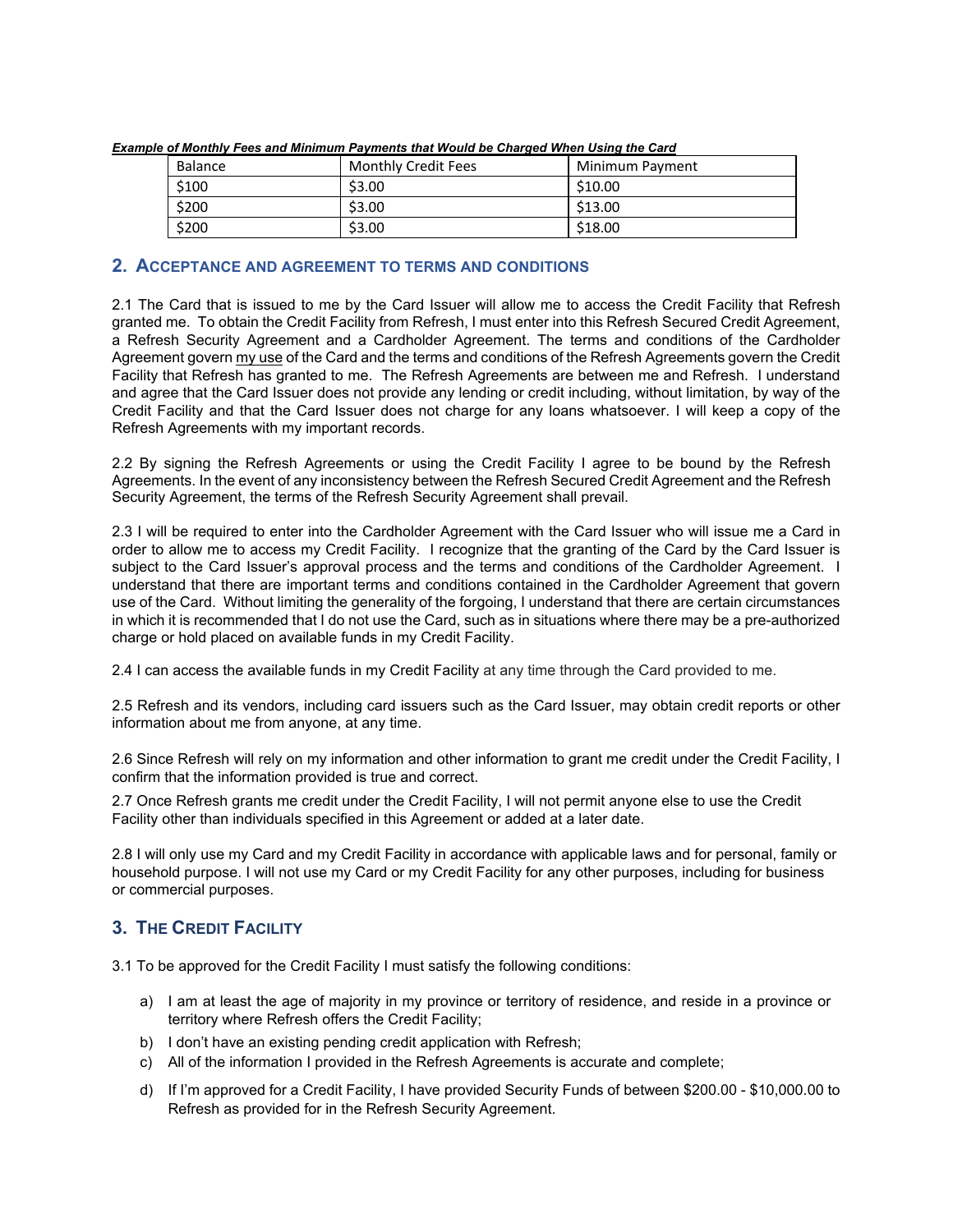| pic or monumy recording minimum rayments unut frourd be onarged friren obing the ourer |                            |                 |  |  |  |  |  |
|----------------------------------------------------------------------------------------|----------------------------|-----------------|--|--|--|--|--|
| <b>Balance</b>                                                                         | <b>Monthly Credit Fees</b> | Minimum Payment |  |  |  |  |  |
| \$100                                                                                  | \$3.00                     | \$10.00         |  |  |  |  |  |
| \$200                                                                                  | \$3.00                     | \$13.00         |  |  |  |  |  |
| \$200                                                                                  | \$3.00                     | \$18.00         |  |  |  |  |  |

*Example of Monthly Fees and Minimum Payments that Would be Charged When Using the Card*

#### **2. ACCEPTANCE AND AGREEMENT TO TERMS AND CONDITIONS**

2.1 The Card that is issued to me by the Card Issuer will allow me to access the Credit Facility that Refresh granted me. To obtain the Credit Facility from Refresh, I must enter into this Refresh Secured Credit Agreement, a Refresh Security Agreement and a Cardholder Agreement. The terms and conditions of the Cardholder Agreement govern my use of the Card and the terms and conditions of the Refresh Agreements govern the Credit Facility that Refresh has granted to me. The Refresh Agreements are between me and Refresh. I understand and agree that the Card Issuer does not provide any lending or credit including, without limitation, by way of the Credit Facility and that the Card Issuer does not charge for any loans whatsoever. I will keep a copy of the Refresh Agreements with my important records.

2.2 By signing the Refresh Agreements or using the Credit Facility I agree to be bound by the Refresh Agreements. In the event of any inconsistency between the Refresh Secured Credit Agreement and the Refresh Security Agreement, the terms of the Refresh Security Agreement shall prevail.

2.3 I will be required to enter into the Cardholder Agreement with the Card Issuer who will issue me a Card in order to allow me to access my Credit Facility. I recognize that the granting of the Card by the Card Issuer is subject to the Card Issuer's approval process and the terms and conditions of the Cardholder Agreement. I understand that there are important terms and conditions contained in the Cardholder Agreement that govern use of the Card. Without limiting the generality of the forgoing, I understand that there are certain circumstances in which it is recommended that I do not use the Card, such as in situations where there may be a pre-authorized charge or hold placed on available funds in my Credit Facility.

2.4 I can access the available funds in my Credit Facility at any time through the Card provided to me.

2.5 Refresh and its vendors, including card issuers such as the Card Issuer, may obtain credit reports or other information about me from anyone, at any time.

2.6 Since Refresh will rely on my information and other information to grant me credit under the Credit Facility, I confirm that the information provided is true and correct.

2.7 Once Refresh grants me credit under the Credit Facility, I will not permit anyone else to use the Credit Facility other than individuals specified in this Agreement or added at a later date.

2.8 I will only use my Card and my Credit Facility in accordance with applicable laws and for personal, family or household purpose. I will not use my Card or my Credit Facility for any other purposes, including for business or commercial purposes.

# **3. THE CREDIT FACILITY**

3.1 To be approved for the Credit Facility I must satisfy the following conditions:

- a) I am at least the age of majority in my province or territory of residence, and reside in a province or territory where Refresh offers the Credit Facility;
- b) I don't have an existing pending credit application with Refresh;
- c) All of the information I provided in the Refresh Agreements is accurate and complete;
- d) If I'm approved for a Credit Facility, I have provided Security Funds of between \$200.00 \$10,000.00 to Refresh as provided for in the Refresh Security Agreement.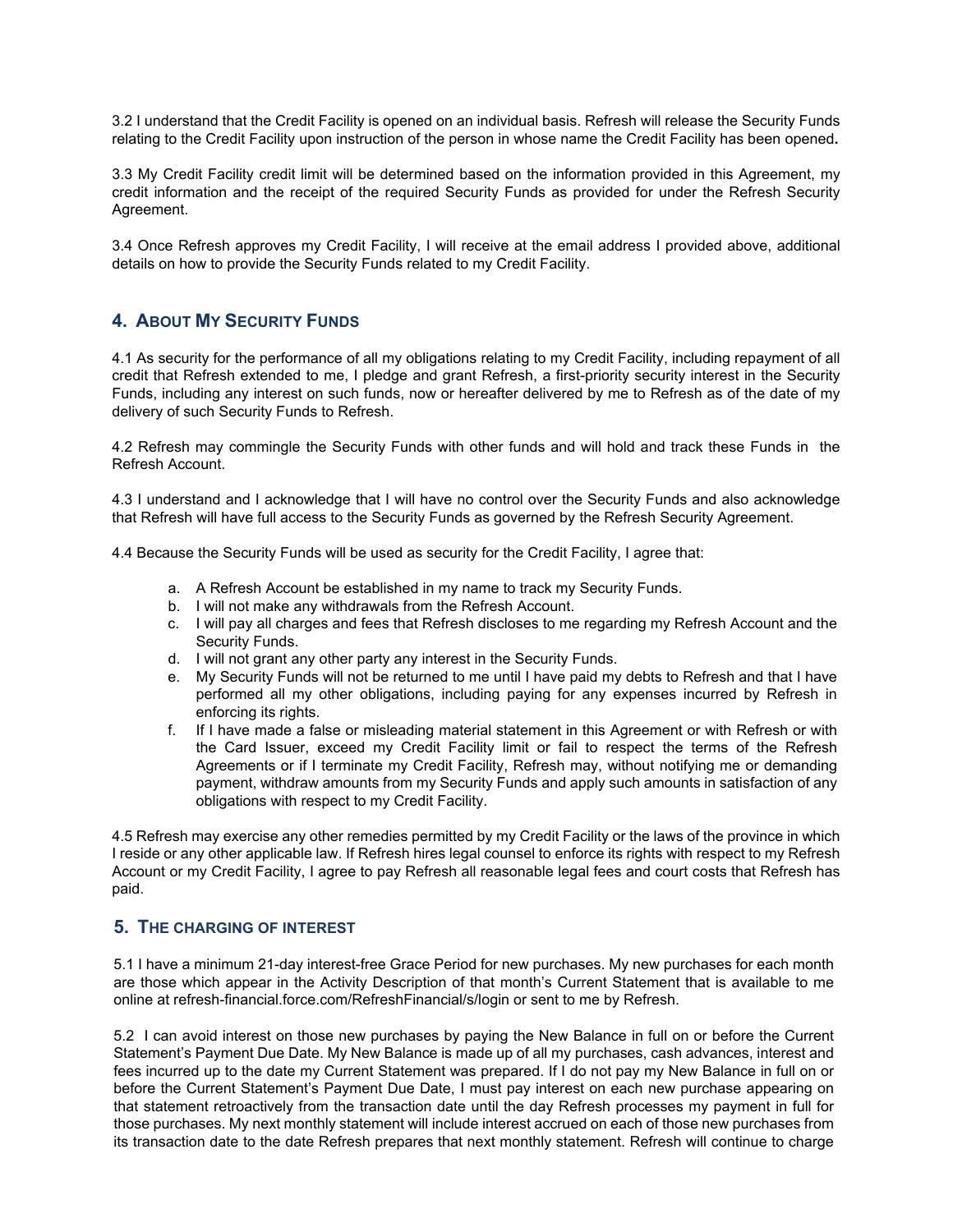3.2 I understand that the Credit Facility is opened on an individual basis. Refresh will release the Security Funds relating to the Credit Facility upon instruction of the person in whose name the Credit Facility has been opened**.**

3.3 My Credit Facility credit limit will be determined based on the information provided in this Agreement, my credit information and the receipt of the required Security Funds as provided for under the Refresh Security Agreement.

3.4 Once Refresh approves my Credit Facility, I will receive at the email address I provided above, additional details on how to provide the Security Funds related to my Credit Facility.

# **4. ABOUT MY SECURITY FUNDS**

4.1 As security for the performance of all my obligations relating to my Credit Facility, including repayment of all credit that Refresh extended to me, I pledge and grant Refresh, a first-priority security interest in the Security Funds, including any interest on such funds, now or hereafter delivered by me to Refresh as of the date of my delivery of such Security Funds to Refresh.

4.2 Refresh may commingle the Security Funds with other funds and will hold and track these Funds in the Refresh Account.

4.3 I understand and I acknowledge that I will have no control over the Security Funds and also acknowledge that Refresh will have full access to the Security Funds as governed by the Refresh Security Agreement.

4.4 Because the Security Funds will be used as security for the Credit Facility, I agree that:

- a. A Refresh Account be established in my name to track my Security Funds.
- b. I will not make any withdrawals from the Refresh Account.
- c. I will pay all charges and fees that Refresh discloses to me regarding my Refresh Account and the Security Funds.
- d. I will not grant any other party any interest in the Security Funds.
- e. My Security Funds will not be returned to me until I have paid my debts to Refresh and that I have performed all my other obligations, including paying for any expenses incurred by Refresh in enforcing its rights.
- f. If I have made a false or misleading material statement in this Agreement or with Refresh or with the Card Issuer, exceed my Credit Facility limit or fail to respect the terms of the Refresh Agreements or if I terminate my Credit Facility, Refresh may, without notifying me or demanding payment, withdraw amounts from my Security Funds and apply such amounts in satisfaction of any obligations with respect to my Credit Facility.

4.5 Refresh may exercise any other remedies permitted by my Credit Facility or the laws of the province in which I reside or any other applicable law. If Refresh hires legal counsel to enforce its rights with respect to my Refresh Account or my Credit Facility, I agree to pay Refresh all reasonable legal fees and court costs that Refresh has paid.

## **5. THE CHARGING OF INTEREST**

5.1 I have a minimum 21-day interest-free Grace Period for new purchases. My new purchases for each month are those which appear in the Activity Description of that month's Current Statement that is available to me online at refresh-financial.force.com/RefreshFinancial/s/login or sent to me by Refresh.

5.2 I can avoid interest on those new purchases by paying the New Balance in full on or before the Current Statement's Payment Due Date. My New Balance is made up of all my purchases, cash advances, interest and fees incurred up to the date my Current Statement was prepared. If I do not pay my New Balance in full on or before the Current Statement's Payment Due Date, I must pay interest on each new purchase appearing on that statement retroactively from the transaction date until the day Refresh processes my payment in full for those purchases. My next monthly statement will include interest accrued on each of those new purchases from its transaction date to the date Refresh prepares that next monthly statement. Refresh will continue to charge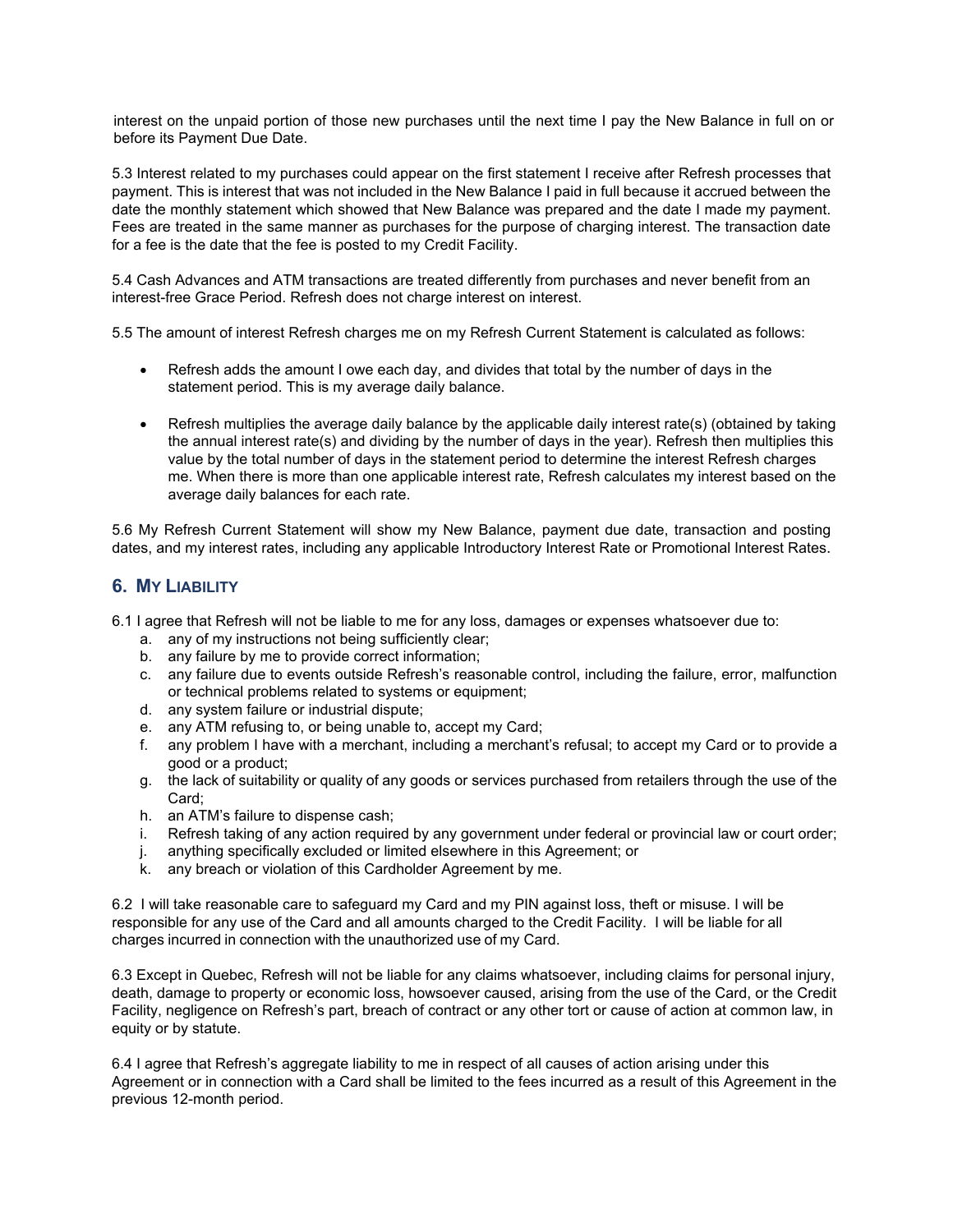interest on the unpaid portion of those new purchases until the next time I pay the New Balance in full on or before its Payment Due Date.

5.3 Interest related to my purchases could appear on the first statement I receive after Refresh processes that payment. This is interest that was not included in the New Balance I paid in full because it accrued between the date the monthly statement which showed that New Balance was prepared and the date I made my payment. Fees are treated in the same manner as purchases for the purpose of charging interest. The transaction date for a fee is the date that the fee is posted to my Credit Facility.

5.4 Cash Advances and ATM transactions are treated differently from purchases and never benefit from an interest-free Grace Period. Refresh does not charge interest on interest.

5.5 The amount of interest Refresh charges me on my Refresh Current Statement is calculated as follows:

- Refresh adds the amount I owe each day, and divides that total by the number of days in the statement period. This is my average daily balance.
- Refresh multiplies the average daily balance by the applicable daily interest rate(s) (obtained by taking the annual interest rate(s) and dividing by the number of days in the year). Refresh then multiplies this value by the total number of days in the statement period to determine the interest Refresh charges me. When there is more than one applicable interest rate, Refresh calculates my interest based on the average daily balances for each rate.

5.6 My Refresh Current Statement will show my New Balance, payment due date, transaction and posting dates, and my interest rates, including any applicable Introductory Interest Rate or Promotional Interest Rates.

### **6. MY LIABILITY**

6.1 I agree that Refresh will not be liable to me for any loss, damages or expenses whatsoever due to:

- a. any of my instructions not being sufficiently clear;
- b. any failure by me to provide correct information;
- c. any failure due to events outside Refresh's reasonable control, including the failure, error, malfunction or technical problems related to systems or equipment;
- d. any system failure or industrial dispute;
- e. any ATM refusing to, or being unable to, accept my Card;
- f. any problem I have with a merchant, including a merchant's refusal; to accept my Card or to provide a good or a product;
- g. the lack of suitability or quality of any goods or services purchased from retailers through the use of the Card;
- h. an ATM's failure to dispense cash;
- i. Refresh taking of any action required by any government under federal or provincial law or court order;
- j. anything specifically excluded or limited elsewhere in this Agreement; or
- k. any breach or violation of this Cardholder Agreement by me.

6.2 I will take reasonable care to safeguard my Card and my PIN against loss, theft or misuse. I will be responsible for any use of the Card and all amounts charged to the Credit Facility. I will be liable for all charges incurred in connection with the unauthorized use of my Card.

6.3 Except in Quebec, Refresh will not be liable for any claims whatsoever, including claims for personal injury, death, damage to property or economic loss, howsoever caused, arising from the use of the Card, or the Credit Facility, negligence on Refresh's part, breach of contract or any other tort or cause of action at common law, in equity or by statute.

6.4 I agree that Refresh's aggregate liability to me in respect of all causes of action arising under this Agreement or in connection with a Card shall be limited to the fees incurred as a result of this Agreement in the previous 12-month period.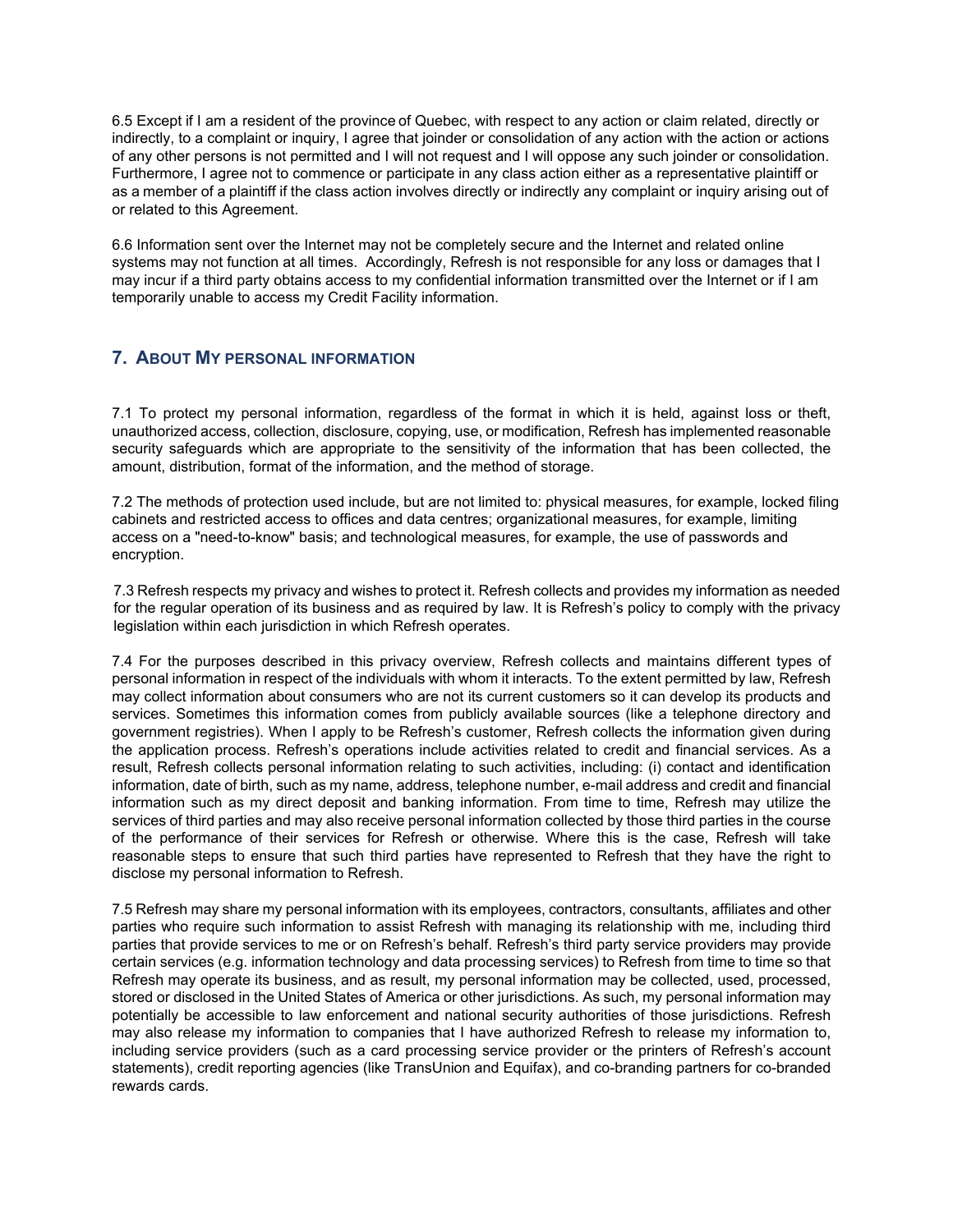6.5 Except if I am a resident of the province of Quebec, with respect to any action or claim related, directly or indirectly, to a complaint or inquiry, I agree that joinder or consolidation of any action with the action or actions of any other persons is not permitted and I will not request and I will oppose any such joinder or consolidation. Furthermore, I agree not to commence or participate in any class action either as a representative plaintiff or as a member of a plaintiff if the class action involves directly or indirectly any complaint or inquiry arising out of or related to this Agreement.

6.6 Information sent over the Internet may not be completely secure and the Internet and related online systems may not function at all times. Accordingly, Refresh is not responsible for any loss or damages that I may incur if a third party obtains access to my confidential information transmitted over the Internet or if I am temporarily unable to access my Credit Facility information.

# **7. ABOUT MY PERSONAL INFORMATION**

7.1 To protect my personal information, regardless of the format in which it is held, against loss or theft, unauthorized access, collection, disclosure, copying, use, or modification, Refresh has implemented reasonable security safeguards which are appropriate to the sensitivity of the information that has been collected, the amount, distribution, format of the information, and the method of storage.

7.2 The methods of protection used include, but are not limited to: physical measures, for example, locked filing cabinets and restricted access to offices and data centres; organizational measures, for example, limiting access on a "need-to-know" basis; and technological measures, for example, the use of passwords and encryption.

7.3 Refresh respects my privacy and wishes to protect it. Refresh collects and provides my information as needed for the regular operation of its business and as required by law. It is Refresh's policy to comply with the privacy legislation within each jurisdiction in which Refresh operates.

7.4 For the purposes described in this privacy overview, Refresh collects and maintains different types of personal information in respect of the individuals with whom it interacts. To the extent permitted by law, Refresh may collect information about consumers who are not its current customers so it can develop its products and services. Sometimes this information comes from publicly available sources (like a telephone directory and government registries). When I apply to be Refresh's customer, Refresh collects the information given during the application process. Refresh's operations include activities related to credit and financial services. As a result, Refresh collects personal information relating to such activities, including: (i) contact and identification information, date of birth, such as my name, address, telephone number, e-mail address and credit and financial information such as my direct deposit and banking information. From time to time, Refresh may utilize the services of third parties and may also receive personal information collected by those third parties in the course of the performance of their services for Refresh or otherwise. Where this is the case, Refresh will take reasonable steps to ensure that such third parties have represented to Refresh that they have the right to disclose my personal information to Refresh.

7.5 Refresh may share my personal information with its employees, contractors, consultants, affiliates and other parties who require such information to assist Refresh with managing its relationship with me, including third parties that provide services to me or on Refresh's behalf. Refresh's third party service providers may provide certain services (e.g. information technology and data processing services) to Refresh from time to time so that Refresh may operate its business, and as result, my personal information may be collected, used, processed, stored or disclosed in the United States of America or other jurisdictions. As such, my personal information may potentially be accessible to law enforcement and national security authorities of those jurisdictions. Refresh may also release my information to companies that I have authorized Refresh to release my information to, including service providers (such as a card processing service provider or the printers of Refresh's account statements), credit reporting agencies (like TransUnion and Equifax), and co-branding partners for co-branded rewards cards.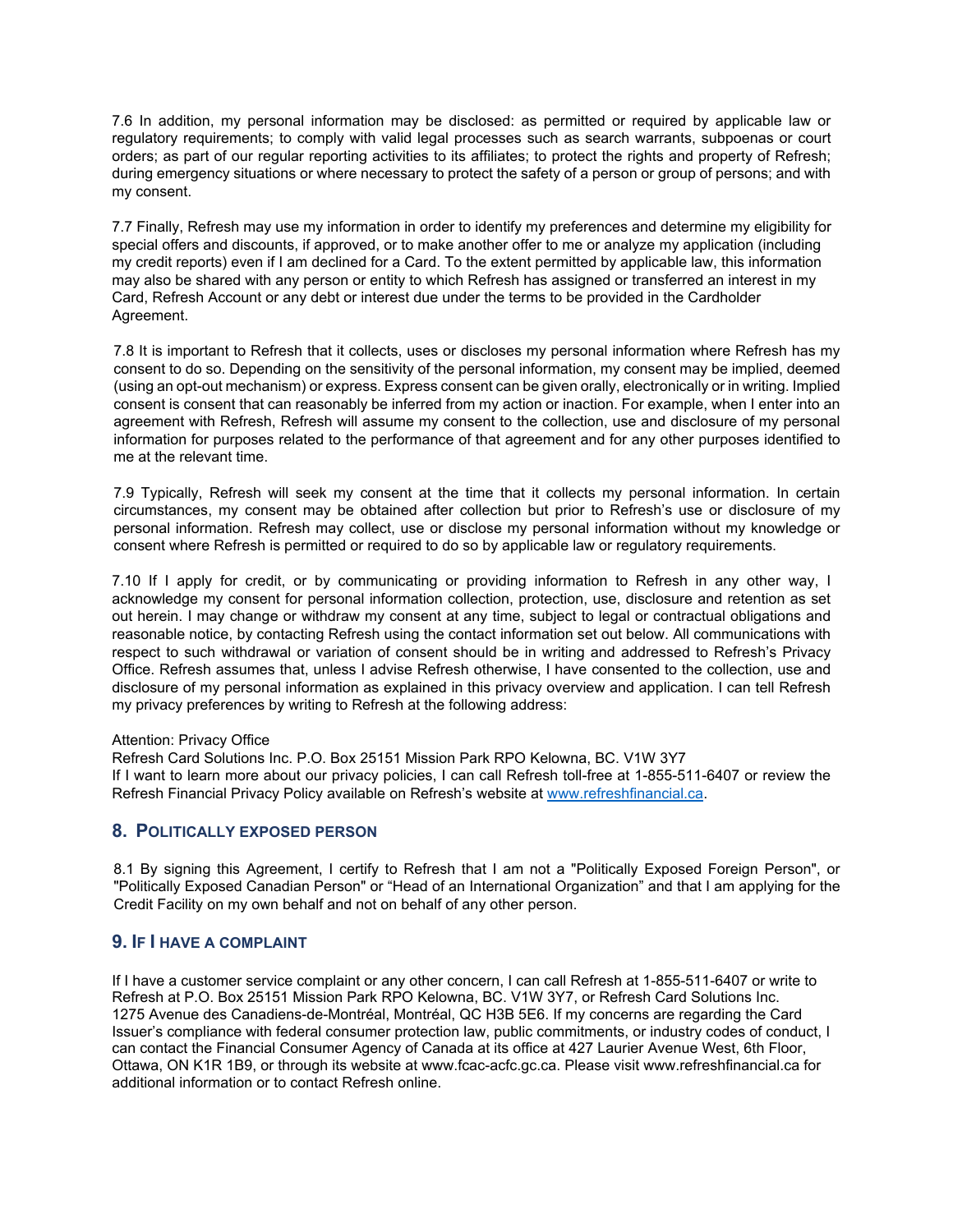7.6 In addition, my personal information may be disclosed: as permitted or required by applicable law or regulatory requirements; to comply with valid legal processes such as search warrants, subpoenas or court orders; as part of our regular reporting activities to its affiliates; to protect the rights and property of Refresh; during emergency situations or where necessary to protect the safety of a person or group of persons; and with my consent.

7.7 Finally, Refresh may use my information in order to identify my preferences and determine my eligibility for special offers and discounts, if approved, or to make another offer to me or analyze my application (including my credit reports) even if I am declined for a Card. To the extent permitted by applicable law, this information may also be shared with any person or entity to which Refresh has assigned or transferred an interest in my Card, Refresh Account or any debt or interest due under the terms to be provided in the Cardholder Agreement.

7.8 It is important to Refresh that it collects, uses or discloses my personal information where Refresh has my consent to do so. Depending on the sensitivity of the personal information, my consent may be implied, deemed (using an opt-out mechanism) or express. Express consent can be given orally, electronically or in writing. Implied consent is consent that can reasonably be inferred from my action or inaction. For example, when I enter into an agreement with Refresh, Refresh will assume my consent to the collection, use and disclosure of my personal information for purposes related to the performance of that agreement and for any other purposes identified to me at the relevant time.

7.9 Typically, Refresh will seek my consent at the time that it collects my personal information. In certain circumstances, my consent may be obtained after collection but prior to Refresh's use or disclosure of my personal information. Refresh may collect, use or disclose my personal information without my knowledge or consent where Refresh is permitted or required to do so by applicable law or regulatory requirements.

7.10 If I apply for credit, or by communicating or providing information to Refresh in any other way, I acknowledge my consent for personal information collection, protection, use, disclosure and retention as set out herein. I may change or withdraw my consent at any time, subject to legal or contractual obligations and reasonable notice, by contacting Refresh using the contact information set out below. All communications with respect to such withdrawal or variation of consent should be in writing and addressed to Refresh's Privacy Office. Refresh assumes that, unless I advise Refresh otherwise, I have consented to the collection, use and disclosure of my personal information as explained in this privacy overview and application. I can tell Refresh my privacy preferences by writing to Refresh at the following address:

Attention: Privacy Office

Refresh Card Solutions Inc. P.O. Box 25151 Mission Park RPO Kelowna, BC. V1W 3Y7 If I want to learn more about our privacy policies, I can call Refresh toll-free at 1-855-511-6407 or review the Refresh Financial Privacy Policy available on Refresh's website at [www.refreshfinancial.ca.](http://www.refreshfinancial.ca/)

#### **8. POLITICALLY EXPOSED PERSON**

8.1 By signing this Agreement, I certify to Refresh that I am not a "Politically Exposed Foreign Person", or "Politically Exposed Canadian Person" or "Head of an International Organization" and that I am applying for the Credit Facility on my own behalf and not on behalf of any other person.

#### **9. IF I HAVE A COMPLAINT**

If I have a customer service complaint or any other concern, I can call Refresh at 1-855-511-6407 or write to Refresh at P.O. Box 25151 Mission Park RPO Kelowna, BC. V1W 3Y7, or Refresh Card Solutions Inc. 1275 Avenue des Canadiens-de-Montréal, Montréal, QC H3B 5E6. If my concerns are regarding the Card Issuer's compliance with federal consumer protection law, public commitments, or industry codes of conduct, I can contact the Financial Consumer Agency of Canada at its office at 427 Laurier Avenue West, 6th Floor, Ottawa, ON K1R 1B9, or through its website at www.fcac-acfc.gc.ca. Please visit www.refreshfinancial.ca for additional information or to contact Refresh online.